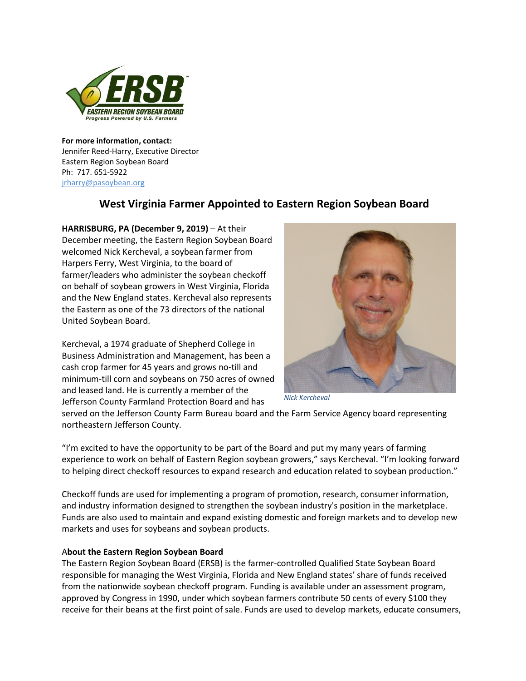

**For more information, contact:** Jennifer Reed-Harry, Executive Director Eastern Region Soybean Board Ph: 717. 651-5922 jrharry@pasoybean.org

## **West Virginia Farmer Appointed to Eastern Region Soybean Board**

**HARRISBURG, PA (December 9, 2019)** – At their December meeting, the Eastern Region Soybean Board welcomed Nick Kercheval, a soybean farmer from Harpers Ferry, West Virginia, to the board of farmer/leaders who administer the soybean checkoff on behalf of soybean growers in West Virginia, Florida and the New England states. Kercheval also represents the Eastern as one of the 73 directors of the national United Soybean Board.

Kercheval, a 1974 graduate of Shepherd College in Business Administration and Management, has been a cash crop farmer for 45 years and grows no-till and minimum-till corn and soybeans on 750 acres of owned and leased land. He is currently a member of the Jefferson County Farmland Protection Board and has



*Nick Kercheval*

served on the Jefferson County Farm Bureau board and the Farm Service Agency board representing northeastern Jefferson County.

"I'm excited to have the opportunity to be part of the Board and put my many years of farming experience to work on behalf of Eastern Region soybean growers," says Kercheval. "I'm looking forward to helping direct checkoff resources to expand research and education related to soybean production."

Checkoff funds are used for implementing a program of promotion, research, consumer information, and industry information designed to strengthen the soybean industry's position in the marketplace. Funds are also used to maintain and expand existing domestic and foreign markets and to develop new markets and uses for soybeans and soybean products.

## A**bout the Eastern Region Soybean Board**

The Eastern Region Soybean Board (ERSB) is the farmer-controlled Qualified State Soybean Board responsible for managing the West Virginia, Florida and New England states' share of funds received from the nationwide soybean checkoff program. Funding is available under an assessment program, approved by Congress in 1990, under which soybean farmers contribute 50 cents of every \$100 they receive for their beans at the first point of sale. Funds are used to develop markets, educate consumers,